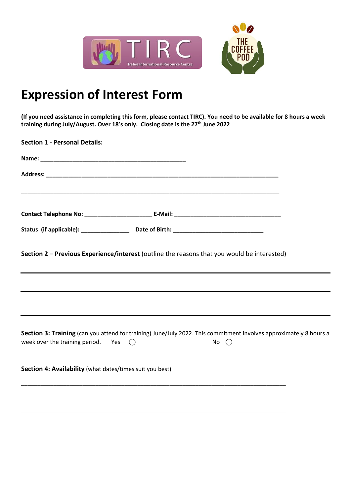

## **Expression of Interest Form**

**(If you need assistance in completing this form, please contact TIRC). You need to be available for 8 hours a week training during July/August. Over 18's only. Closing date is the 27th June 2022**

| <b>Section 1 - Personal Details:</b>                                                                                                                                                |  |
|-------------------------------------------------------------------------------------------------------------------------------------------------------------------------------------|--|
|                                                                                                                                                                                     |  |
|                                                                                                                                                                                     |  |
|                                                                                                                                                                                     |  |
|                                                                                                                                                                                     |  |
| Section 2 - Previous Experience/interest (outline the reasons that you would be interested)                                                                                         |  |
|                                                                                                                                                                                     |  |
|                                                                                                                                                                                     |  |
| Section 3: Training (can you attend for training) June/July 2022. This commitment involves approximately 8 hours a<br>week over the training period. Yes $\bigcirc$<br>No $\bigcap$ |  |
| Section 4: Availability (what dates/times suit you best)                                                                                                                            |  |
|                                                                                                                                                                                     |  |

\_\_\_\_\_\_\_\_\_\_\_\_\_\_\_\_\_\_\_\_\_\_\_\_\_\_\_\_\_\_\_\_\_\_\_\_\_\_\_\_\_\_\_\_\_\_\_\_\_\_\_\_\_\_\_\_\_\_\_\_\_\_\_\_\_\_\_\_\_\_\_\_\_\_\_\_\_\_\_\_\_\_